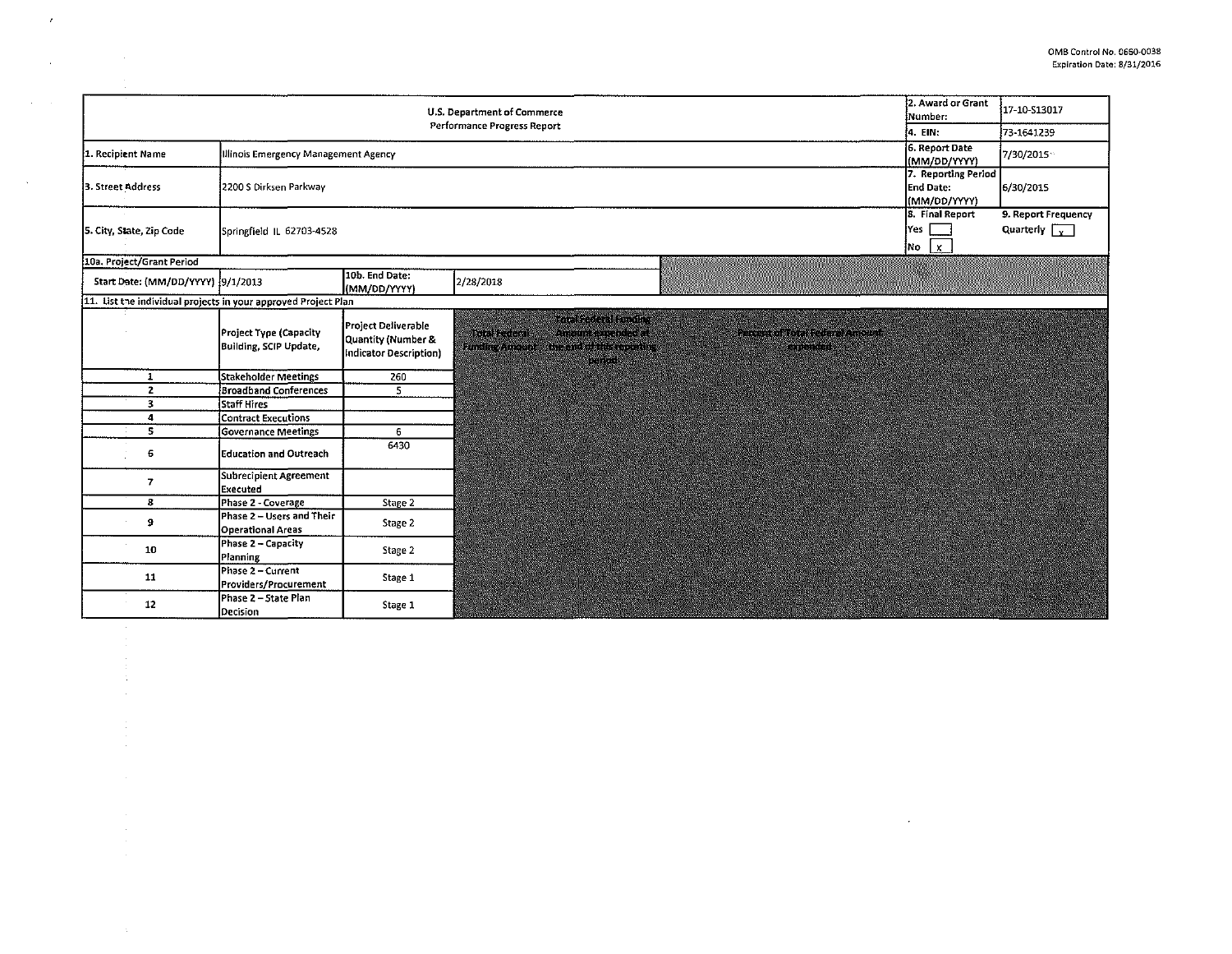$\mathcal{L}^{\text{max}}_{\text{max}}$ 

|                                                                | 2. Award or Grant<br>U.S. Department of Commerce<br>ÍNumber: | 17-10-\$13017                                                       |                                                                                                                                                              |                                                    |
|----------------------------------------------------------------|--------------------------------------------------------------|---------------------------------------------------------------------|--------------------------------------------------------------------------------------------------------------------------------------------------------------|----------------------------------------------------|
|                                                                | Performance Progress Report<br>4. EIN.                       | 73-1641239                                                          |                                                                                                                                                              |                                                    |
| 1. Recipient Name                                              | 6. Report Date<br>Illinois Emergency Management Agency       |                                                                     |                                                                                                                                                              | 7/30/2015<br>(MM/DD/YYYY)                          |
| 3. Street Address                                              | 2200 S Dirksen Parkway                                       |                                                                     | 7. Reporting Period<br><b>End Date:</b><br>(MM/DD/YYYY)<br>8. Final Report                                                                                   | 6/30/2015                                          |
| 5. City, State, Zip Code                                       | lYes l<br>Springfield IL 62703-4528<br>$ No  \times$         |                                                                     |                                                                                                                                                              | 9. Report Frequency<br>Quarterly $\sqrt{\sqrt{x}}$ |
| 10a. Project/Grant Period                                      |                                                              |                                                                     |                                                                                                                                                              |                                                    |
| Start Date: (MM/DD/YYYY) 9/1/2013                              |                                                              | 10b. End Date:<br>(MM/DD/YYYY)                                      | 2/28/2018                                                                                                                                                    |                                                    |
| 11. List the individual projects in your approved Project Plan |                                                              |                                                                     |                                                                                                                                                              |                                                    |
|                                                                | Project Type (Capacity<br>Building, SCIP Update,             | Project Deliverable<br>Quantity (Number &<br>Indicator Description) | MENT COOLERARY<br>Analina et de l'artist<br>ULIO SELLECI<br>LENENS IN ALSO LATERS<br><b>STEAD DE ROOM AND</b><br>in ning<br>HARSH ANDREAS<br><b>PART SET</b> |                                                    |
| $\mathbf{1}$                                                   | Stakeholder Meetings                                         | 260                                                                 |                                                                                                                                                              |                                                    |
| $\mathbf{z}$                                                   | <b>Broadband Conferences</b>                                 | 5                                                                   |                                                                                                                                                              |                                                    |
| 3                                                              | Staff Hires                                                  |                                                                     |                                                                                                                                                              |                                                    |
| 4                                                              | <b>Contract Executions</b>                                   |                                                                     |                                                                                                                                                              |                                                    |
| $\mathbf{s}$                                                   | Governance Meetings                                          | 6                                                                   |                                                                                                                                                              |                                                    |
| 6                                                              | <b>Education and Outreach</b>                                | 6430                                                                |                                                                                                                                                              |                                                    |
| 7                                                              | Subrecipient Agreement<br>Executed                           |                                                                     |                                                                                                                                                              |                                                    |
| 8                                                              | Phase 2 - Coverage                                           | Stage 2                                                             |                                                                                                                                                              |                                                    |
| 9                                                              | Phase 2 - Users and Their<br><b>Operational Areas</b>        | Stage 2                                                             |                                                                                                                                                              |                                                    |
| 10                                                             | Phase 2 - Capacity<br>Planning                               | Stage 2                                                             |                                                                                                                                                              |                                                    |
| 11                                                             | Phase 2 - Current<br>Providers/Procurement                   | Stage 1                                                             |                                                                                                                                                              |                                                    |
| 12                                                             | Phase 2 - State Plan<br>Decision                             | Stage 1                                                             |                                                                                                                                                              |                                                    |

 $\bar{r}$ 

 $\sim$ 

 $\Delta \sim 100$ 

 $\mathcal{L}^{\text{max}}_{\text{max}}$ 

 $\mathcal{A}^{\mathcal{A}}$ 

 $\frac{1}{2}$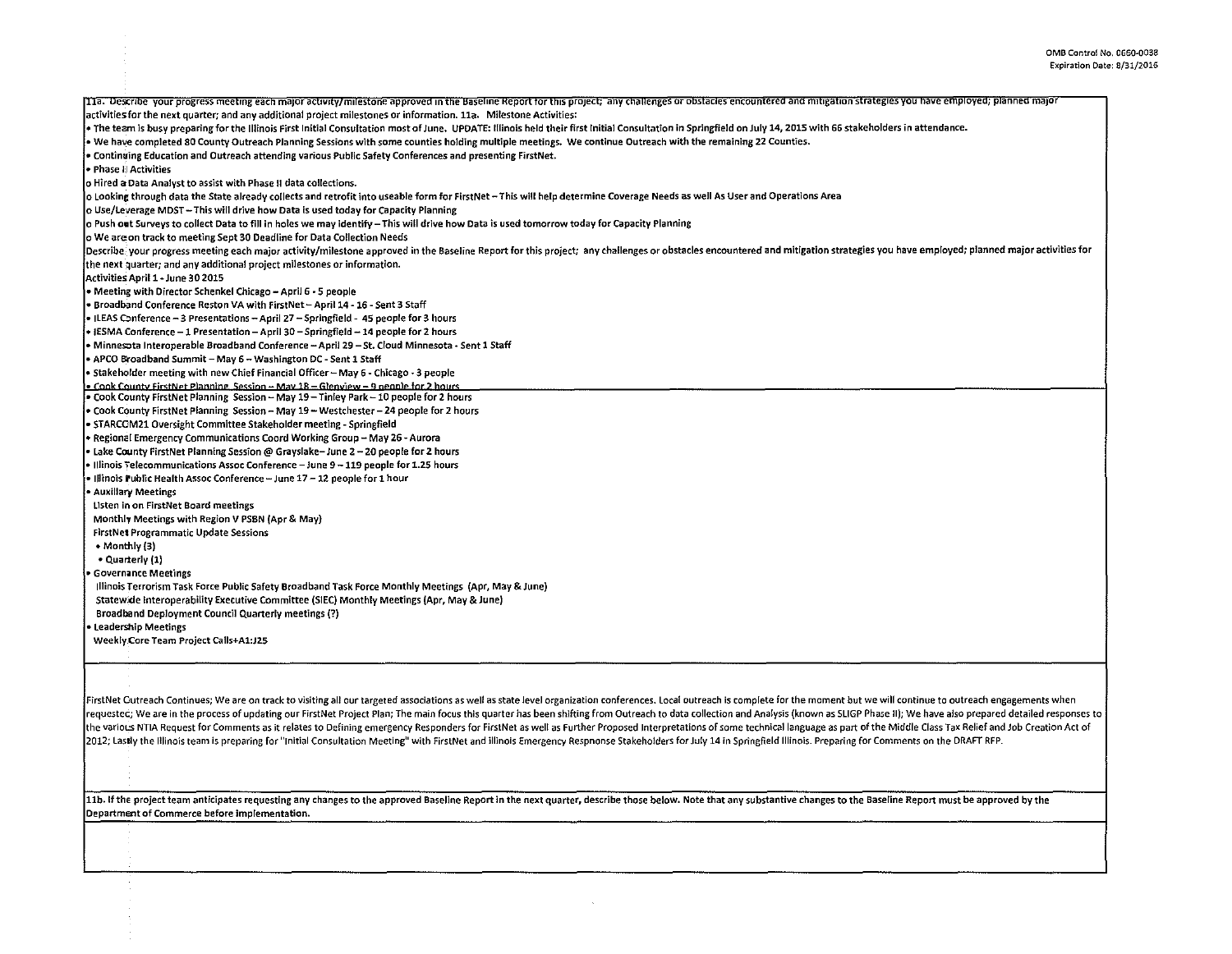| [11a. Describe your progress meeting each major activity/milestone approved in the Baseline Report for this project; any challenges or obstacles encountered and mitigation strategies you have employed; planned major        |
|--------------------------------------------------------------------------------------------------------------------------------------------------------------------------------------------------------------------------------|
| activities for the next quarter; and any additional project milestones or information. 11a. Milestone Activities:                                                                                                              |
| . The team is busy preparing for the Illinois First Initial Consultation most of June, UPDATE: Illinois held their first Initial Consultation in Springfield on July 14, 2015 with 66 stakeholders in attendance.              |
| . We have completed 80 County Outreach Planning Sessions with some counties holding multiple meetings. We continue Outreach with the remaining 22 Counties.                                                                    |
| . Continuing Education and Outreach attending various Public Safety Conferences and presenting FirstNet                                                                                                                        |
| • Phase II Activities                                                                                                                                                                                                          |
| o Hired a Data Analyst to assist with Phase II data collections.                                                                                                                                                               |
| o Looking through data the State already collects and retrofit into useable form for FirstNet - This will help determine Coverage Needs as well As User and Operations Area                                                    |
| o Use/Leverage MDST - This will drive how Data is used today for Capacity Planning                                                                                                                                             |
| o Push out Surveys to collect Data to fill in holes we may identify – This will drive how Data is used tomorrow today for Capacity Planning                                                                                    |
| o We are on track to meeting Sept 30 Deadline for Data Collection Needs                                                                                                                                                        |
| Describe your progress meeting each major activity/milestone approved in the Baseline Report for this project; any challenges or obstacles encountered and mitigation strategies you have employed; planned major activities f |
| {the next quarter; and any additional project milestones or information.                                                                                                                                                       |
| Activities April 1 - June 30 2015                                                                                                                                                                                              |
| • Meeting with Director Schenkel Chicago - April 6 - 5 people                                                                                                                                                                  |
| • Broadband Conference Reston VA with FirstNet – April 14 - 16 - Sent 3 Staff                                                                                                                                                  |
| - ILEAS Conference - 3 Presentations - April 27 - Springfield - 45 people for 3 hours                                                                                                                                          |
| • IESMA Conference - 1 Presentation - April 30 - Springfield - 14 people for 2 hours                                                                                                                                           |
| • Minnesota Interoperable Broadband Conference - April 29 - St. Cloud Minnesota - Sent 1 Staff                                                                                                                                 |
| • APCO Broadband Summit – May 6 – Washington DC - Sent 1 Staff                                                                                                                                                                 |
| • Stakeholder meeting with new Chief Financial Officer - May 6 - Chicago - 3 people                                                                                                                                            |
| • Cook County FirstNet Planning, Session - May 18 - Glenview - 9 people for 2 hours                                                                                                                                            |
| . Cook County FirstNet Planning Session - May 19 - Tinley Park - 10 people for 2 hours                                                                                                                                         |
| ∙ Cook County FirstNet Planning  Session – May 19 – Westchester – 24 people for 2 hours                                                                                                                                        |
| STARCOM21 Oversight Committee Stakeholder meeting - Springfield                                                                                                                                                                |
| • Regional Emergency Communications Coord Working Group - May 26 - Aurora                                                                                                                                                      |
| • Lake County FirstNet Planning Session @ Grayslake-June 2 - 20 people for 2 hours                                                                                                                                             |
| • Illinois ∓elecommunications Assoc Conference — June 9 — 119 people for 1.25 hours                                                                                                                                            |
| • Illinois Public Health Assoc Conference – June 17 – 12 people for 1 hour                                                                                                                                                     |
| • Auxillary Meetings                                                                                                                                                                                                           |
| Listen in on FirstNet Board meetings                                                                                                                                                                                           |
| Monthly Meetings with Region V PSBN (Apr & May)                                                                                                                                                                                |
| <b>FirstNet Programmatic Update Sessions</b>                                                                                                                                                                                   |
| - Monthly (3)                                                                                                                                                                                                                  |
| • Quarterly (1)                                                                                                                                                                                                                |
| <b>Governance Meetings</b>                                                                                                                                                                                                     |
| Illinois Terrorism Task Force Public Safety Broadband Task Force Monthly Meetings (Apr, May & June)                                                                                                                            |
| Statewide Interoperability Executive Committee (SIEC) Monthly Meetings (Apr, May & June)                                                                                                                                       |
| <b>Broadband Deployment Council Quarterly meetings (?)</b>                                                                                                                                                                     |
| Leadership Meetings                                                                                                                                                                                                            |
| Weekly Core Team Project Calls+A1:J25                                                                                                                                                                                          |
|                                                                                                                                                                                                                                |
|                                                                                                                                                                                                                                |
|                                                                                                                                                                                                                                |

FirstNet Cutreach Continues; We are on track to visiting all our targeted associations as well as state level organization conferences. Local outreach is complete for the moment but we will continue to outreach engagements requested; We are in the process of updating our FirstNet Project Plan; The main focus this quarter has been shifting from Outreach to data collection and Analysis (known as SLIGP Phase II); We have also prepared detailed the various NTIA Request for Comments as it relates to Defining emergency Responders for FirstNet as well as Further Proposed Interpretations of some technical language as part of the Middle Class Tax Relief and Job Creati 2012; Lastly the Illinois team is preparing for "Initial Consultation Meeting" with FirstNet and illinois Emergency Respnonse Stakeholders for July 14 in Springfield Illinois. Preparing for Comments on the DRAFT RFP.

 $\sim$ 

11b. If the project team anticipates requesting any changes to the approved Baseline Report in the next quarter, describe those below. Note that any substantive changes to the Baseline Report must be approved by the Department of Commerce before implementation.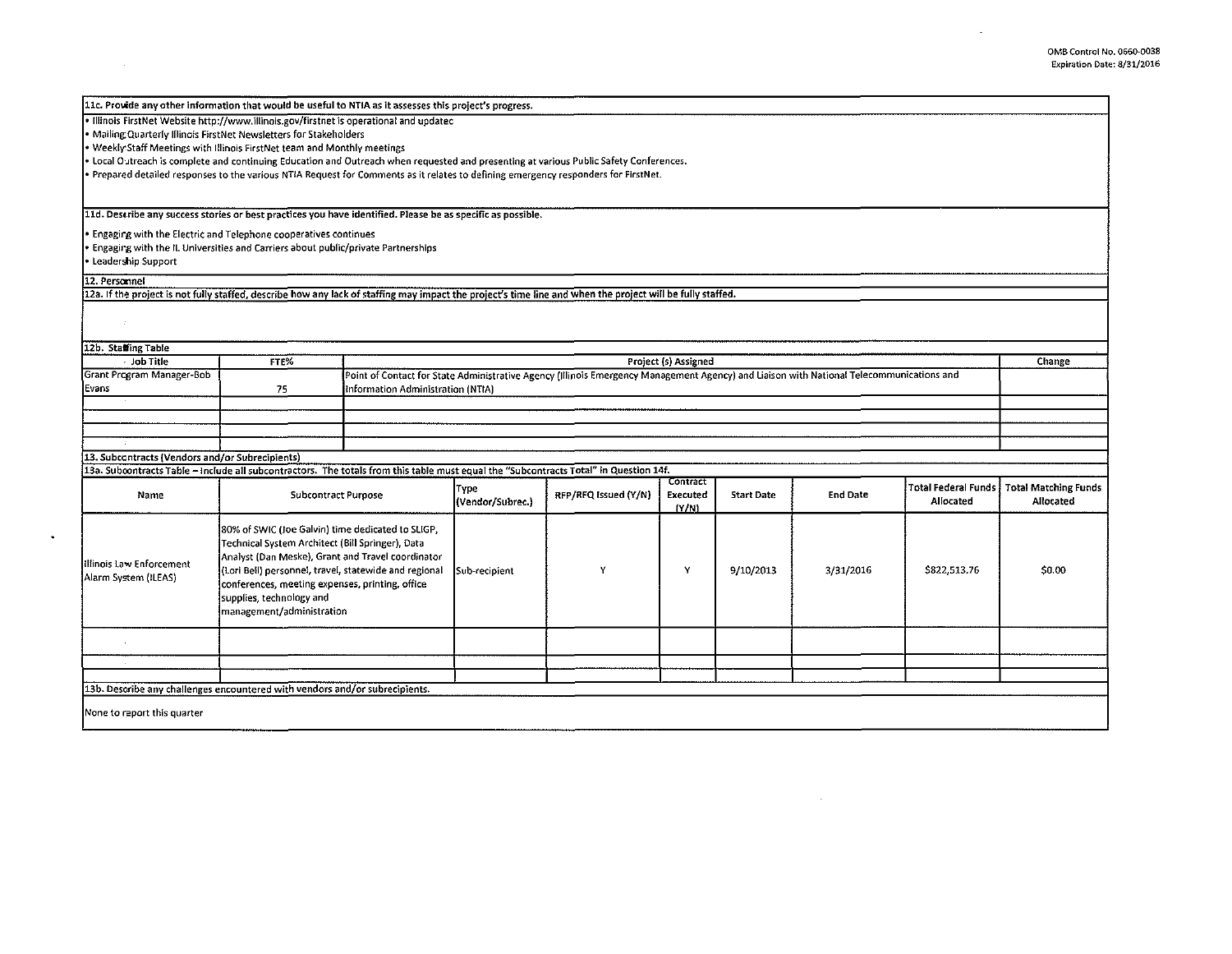$\sim$ 

| 11c. Provide any other information that would be useful to NTIA as it assesses this project's progress.                                                    |                                                                                                                                                                                                                                                                                                    |  |                                                                                                                                          |                      |                               |                   |                 |                                         |                                          |  |
|------------------------------------------------------------------------------------------------------------------------------------------------------------|----------------------------------------------------------------------------------------------------------------------------------------------------------------------------------------------------------------------------------------------------------------------------------------------------|--|------------------------------------------------------------------------------------------------------------------------------------------|----------------------|-------------------------------|-------------------|-----------------|-----------------------------------------|------------------------------------------|--|
| . Illinois FirstNet Website http://www.illinois.gov/firstnet is operational and updatec                                                                    |                                                                                                                                                                                                                                                                                                    |  |                                                                                                                                          |                      |                               |                   |                 |                                         |                                          |  |
| . Mailing Quarterly Illinois FirstNet Newsletters for Stakeholders                                                                                         |                                                                                                                                                                                                                                                                                                    |  |                                                                                                                                          |                      |                               |                   |                 |                                         |                                          |  |
| • Weekly Staff Meetings with Illinois FirstNet team and Monthly meetings                                                                                   |                                                                                                                                                                                                                                                                                                    |  |                                                                                                                                          |                      |                               |                   |                 |                                         |                                          |  |
| . Local Outreach is complete and continuing Education and Outreach when requested and presenting at various Public Safety Conferences.                     |                                                                                                                                                                                                                                                                                                    |  |                                                                                                                                          |                      |                               |                   |                 |                                         |                                          |  |
| . Prepared detailed responses to the various NTIA Request for Comments as it relates to defining emergency responders for FirstNet.                        |                                                                                                                                                                                                                                                                                                    |  |                                                                                                                                          |                      |                               |                   |                 |                                         |                                          |  |
|                                                                                                                                                            |                                                                                                                                                                                                                                                                                                    |  |                                                                                                                                          |                      |                               |                   |                 |                                         |                                          |  |
| 11d. Describe any success stories or best practices you have identified. Please be as specific as possible.                                                |                                                                                                                                                                                                                                                                                                    |  |                                                                                                                                          |                      |                               |                   |                 |                                         |                                          |  |
| • Engaging with the Electric and Telephone cooperatives continues                                                                                          |                                                                                                                                                                                                                                                                                                    |  |                                                                                                                                          |                      |                               |                   |                 |                                         |                                          |  |
| . Engaging with the IL Universities and Carriers about public/private Partnerships                                                                         |                                                                                                                                                                                                                                                                                                    |  |                                                                                                                                          |                      |                               |                   |                 |                                         |                                          |  |
| • Leadership Support                                                                                                                                       |                                                                                                                                                                                                                                                                                                    |  |                                                                                                                                          |                      |                               |                   |                 |                                         |                                          |  |
| 12. Personnel                                                                                                                                              |                                                                                                                                                                                                                                                                                                    |  |                                                                                                                                          |                      |                               |                   |                 |                                         |                                          |  |
| 12a. If the project is not fully staffed, describe how any lack of staffing may impact the project's time line and when the project will be fully staffed. |                                                                                                                                                                                                                                                                                                    |  |                                                                                                                                          |                      |                               |                   |                 |                                         |                                          |  |
|                                                                                                                                                            |                                                                                                                                                                                                                                                                                                    |  |                                                                                                                                          |                      |                               |                   |                 |                                         |                                          |  |
|                                                                                                                                                            |                                                                                                                                                                                                                                                                                                    |  |                                                                                                                                          |                      |                               |                   |                 |                                         |                                          |  |
| 12b. Stating Table                                                                                                                                         |                                                                                                                                                                                                                                                                                                    |  |                                                                                                                                          |                      |                               |                   |                 |                                         |                                          |  |
| Job Title                                                                                                                                                  | FTE%                                                                                                                                                                                                                                                                                               |  | Project (s) Assigned<br>Change                                                                                                           |                      |                               |                   |                 |                                         |                                          |  |
| Grant Program Manager-Bob                                                                                                                                  |                                                                                                                                                                                                                                                                                                    |  | Point of Contact for State Administrative Agency (Illinois Emergency Management Agency) and Liaison with National Telecommunications and |                      |                               |                   |                 |                                         |                                          |  |
| Evans                                                                                                                                                      | 75                                                                                                                                                                                                                                                                                                 |  | Information Administration (NTIA)                                                                                                        |                      |                               |                   |                 |                                         |                                          |  |
|                                                                                                                                                            |                                                                                                                                                                                                                                                                                                    |  |                                                                                                                                          |                      |                               |                   |                 |                                         |                                          |  |
|                                                                                                                                                            |                                                                                                                                                                                                                                                                                                    |  |                                                                                                                                          |                      |                               |                   |                 |                                         |                                          |  |
|                                                                                                                                                            |                                                                                                                                                                                                                                                                                                    |  |                                                                                                                                          |                      |                               |                   |                 |                                         |                                          |  |
|                                                                                                                                                            |                                                                                                                                                                                                                                                                                                    |  |                                                                                                                                          |                      |                               |                   |                 |                                         |                                          |  |
| 13. Subcontracts (Vendors and/or Subrecipients)                                                                                                            |                                                                                                                                                                                                                                                                                                    |  |                                                                                                                                          |                      |                               |                   |                 |                                         |                                          |  |
| 13a. Subcontracts Table - include all subcontractors. The totals from this table must equal the "Subcontracts Total" in Question 14f.                      |                                                                                                                                                                                                                                                                                                    |  |                                                                                                                                          |                      |                               |                   |                 |                                         |                                          |  |
| Name                                                                                                                                                       | Subcontract Purpose                                                                                                                                                                                                                                                                                |  | Type<br>(Vendor/Subrec.)                                                                                                                 | RFP/RFQ Issued (Y/N) | Contract<br>Executed<br>(Y/N) | <b>Start Date</b> | <b>End Date</b> | <b>Total Federal Funds</b><br>Allocated | <b>Total Matching Funds</b><br>Allocated |  |
| Illinois Law Enforcement<br>Alarm System (ILEAS)                                                                                                           | 80% of SWIC (Joe Galvin) time dedicated to SLIGP,<br>Technical System Architect (Bill Springer), Data<br>Analyst (Dan Meske), Grant and Travel coordinator<br>(Lori Bell) personnel, travel, statewide and regional<br>conferences, meeting expenses, printing, office<br>supplies, technology and |  | Sub-recipient                                                                                                                            | Y                    | Y                             | 9/10/2013         | 3/31/2016       | \$822,513.76                            | \$0.00                                   |  |
| $\sim$                                                                                                                                                     | management/administration                                                                                                                                                                                                                                                                          |  |                                                                                                                                          |                      |                               |                   |                 |                                         |                                          |  |
|                                                                                                                                                            |                                                                                                                                                                                                                                                                                                    |  |                                                                                                                                          |                      |                               |                   |                 |                                         |                                          |  |
| 13b. Describe any challenges encountered with vendors and/or subrecipients.                                                                                |                                                                                                                                                                                                                                                                                                    |  |                                                                                                                                          |                      |                               |                   |                 |                                         |                                          |  |
|                                                                                                                                                            |                                                                                                                                                                                                                                                                                                    |  |                                                                                                                                          |                      |                               |                   |                 |                                         |                                          |  |
| None to report this quarter                                                                                                                                |                                                                                                                                                                                                                                                                                                    |  |                                                                                                                                          |                      |                               |                   |                 |                                         |                                          |  |

 $\sim 10^7$ 

 $\sim$ 

 $\bullet$